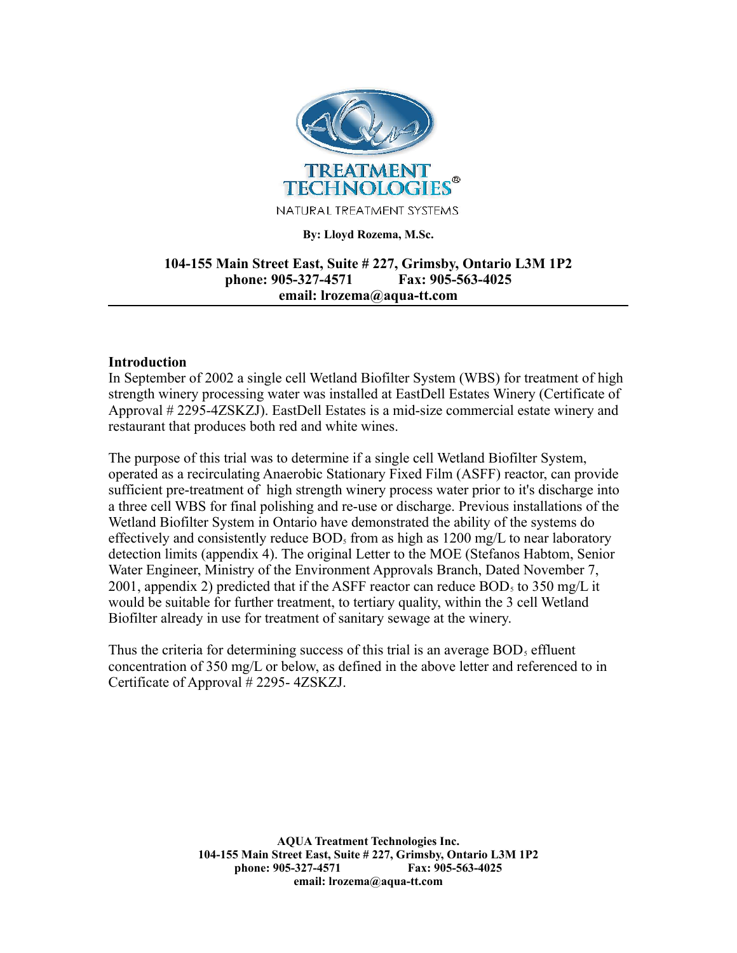

#### **By: Lloyd Rozema, M.Sc.**

# **104-155 Main Street East, Suite # 227, Grimsby, Ontario L3M 1P2 phone: 905-327-4571 Fax: 905-563-4025 email: lrozema@aqua-tt.com**

## **Introduction**

In September of 2002 a single cell Wetland Biofilter System (WBS) for treatment of high strength winery processing water was installed at EastDell Estates Winery (Certificate of Approval # 2295-4ZSKZJ). EastDell Estates is a mid-size commercial estate winery and restaurant that produces both red and white wines.

The purpose of this trial was to determine if a single cell Wetland Biofilter System, operated as a recirculating Anaerobic Stationary Fixed Film (ASFF) reactor, can provide sufficient pre-treatment of high strength winery process water prior to it's discharge into a three cell WBS for final polishing and re-use or discharge. Previous installations of the Wetland Biofilter System in Ontario have demonstrated the ability of the systems do effectively and consistently reduce  $BOD<sub>5</sub>$  from as high as 1200 mg/L to near laboratory detection limits (appendix 4). The original Letter to the MOE (Stefanos Habtom, Senior Water Engineer, Ministry of the Environment Approvals Branch, Dated November 7, 2001, appendix 2) predicted that if the ASFF reactor can reduce  $BOD<sub>5</sub>$  to 350 mg/L it would be suitable for further treatment, to tertiary quality, within the 3 cell Wetland Biofilter already in use for treatment of sanitary sewage at the winery.

Thus the criteria for determining success of this trial is an average  $BOD<sub>s</sub>$  effluent concentration of 350 mg/L or below, as defined in the above letter and referenced to in Certificate of Approval # 2295- 4ZSKZJ.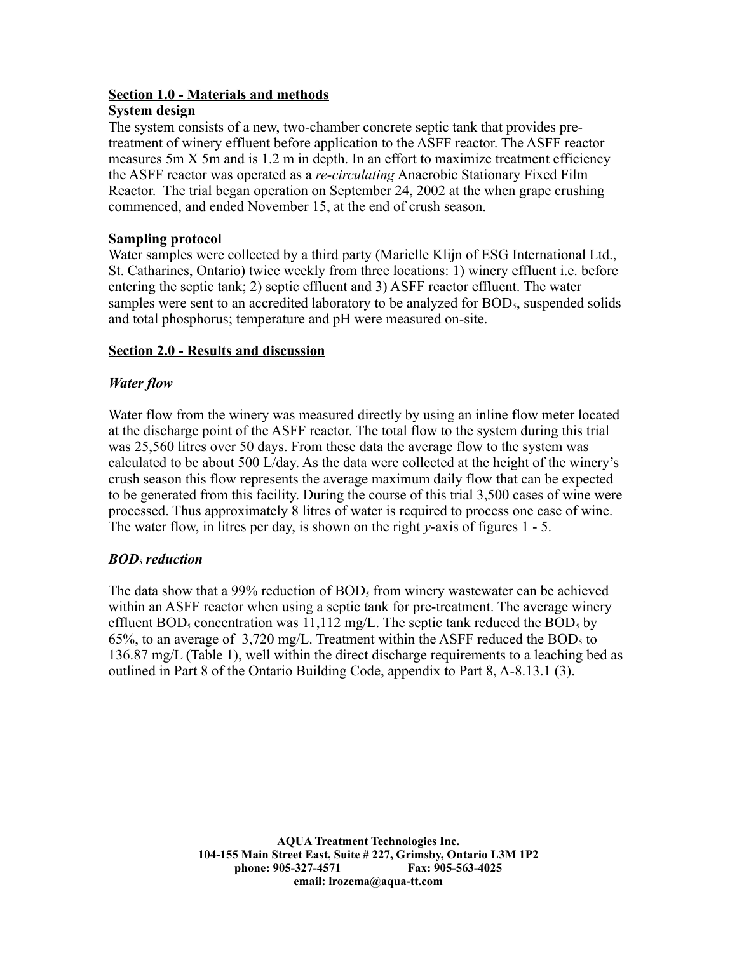# **Section 1.0 - Materials and methods**

## **System design**

The system consists of a new, two-chamber concrete septic tank that provides pretreatment of winery effluent before application to the ASFF reactor. The ASFF reactor measures 5m X 5m and is 1.2 m in depth. In an effort to maximize treatment efficiency the ASFF reactor was operated as a *re-circulating* Anaerobic Stationary Fixed Film Reactor. The trial began operation on September 24, 2002 at the when grape crushing commenced, and ended November 15, at the end of crush season.

## **Sampling protocol**

Water samples were collected by a third party (Marielle Klijn of ESG International Ltd., St. Catharines, Ontario) twice weekly from three locations: 1) winery effluent i.e. before entering the septic tank; 2) septic effluent and 3) ASFF reactor effluent. The water samples were sent to an accredited laboratory to be analyzed for  $BOD<sub>5</sub>$ , suspended solids and total phosphorus; temperature and pH were measured on-site.

# **Section 2.0 - Results and discussion**

# *Water flow*

Water flow from the winery was measured directly by using an inline flow meter located at the discharge point of the ASFF reactor. The total flow to the system during this trial was 25,560 litres over 50 days. From these data the average flow to the system was calculated to be about 500 L/day. As the data were collected at the height of the winery's crush season this flow represents the average maximum daily flow that can be expected to be generated from this facility. During the course of this trial 3,500 cases of wine were processed. Thus approximately 8 litres of water is required to process one case of wine. The water flow, in litres per day, is shown on the right *y*-axis of figures 1 - 5.

# *BOD5 reduction*

The data show that a 99% reduction of  $BOD<sub>5</sub>$  from winery wastewater can be achieved within an ASFF reactor when using a septic tank for pre-treatment. The average winery effluent BOD<sub>5</sub> concentration was 11,112 mg/L. The septic tank reduced the BOD<sub>5</sub> by 65%, to an average of  $3,720 \text{ mg/L}$ . Treatment within the ASFF reduced the BOD<sub>5</sub> to 136.87 mg/L (Table 1), well within the direct discharge requirements to a leaching bed as outlined in Part 8 of the Ontario Building Code, appendix to Part 8, A-8.13.1 (3).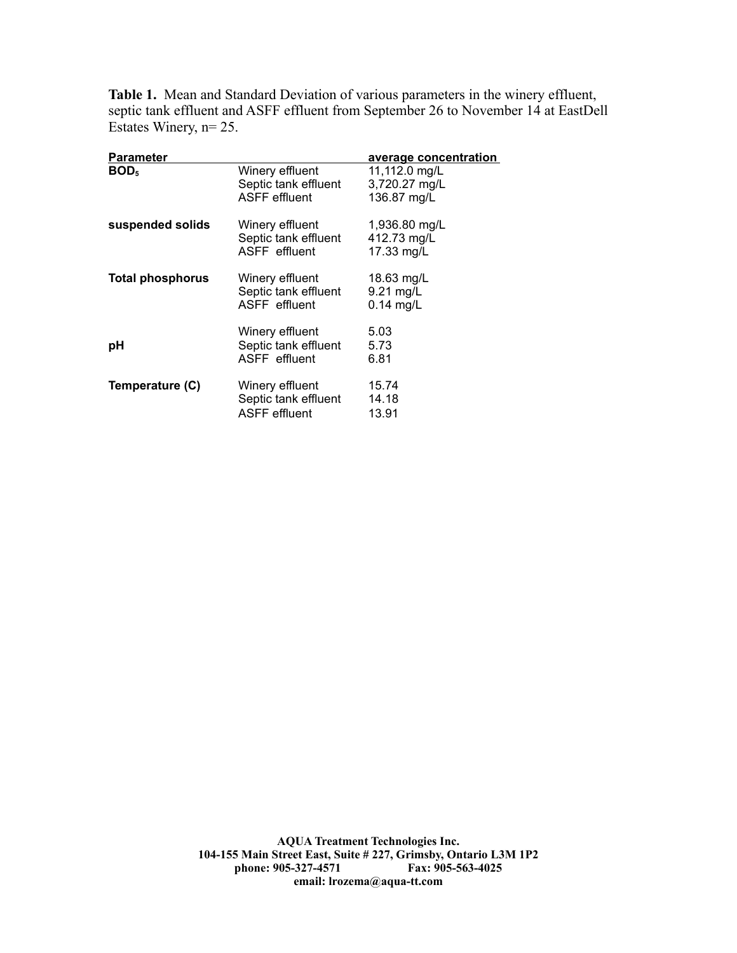**Table 1.** Mean and Standard Deviation of various parameters in the winery effluent, septic tank effluent and ASFF effluent from September 26 to November 14 at EastDell Estates Winery, n= 25.

| Parameter               |                                                                 | average concentration                         |
|-------------------------|-----------------------------------------------------------------|-----------------------------------------------|
| <b>BOD</b> <sub>5</sub> | Winery effluent<br>Septic tank effluent<br><b>ASFF</b> effluent | 11,112.0 mg/L<br>3,720.27 mg/L<br>136.87 mg/L |
| suspended solids        | Winery effluent<br>Septic tank effluent<br>ASFF effluent        | 1,936.80 mg/L<br>412.73 mg/L<br>17.33 mg/L    |
| <b>Total phosphorus</b> | Winery effluent<br>Septic tank effluent<br>ASFF effluent        | 18.63 mg/L<br>9.21 mg/L<br>$0.14$ mg/L        |
| рH                      | Winery effluent<br>Septic tank effluent<br>ASFF effluent        | 5.03<br>5.73<br>6.81                          |
| Temperature (C)         | Winery effluent<br>Septic tank effluent<br><b>ASFF</b> effluent | 15.74<br>14.18<br>13.91                       |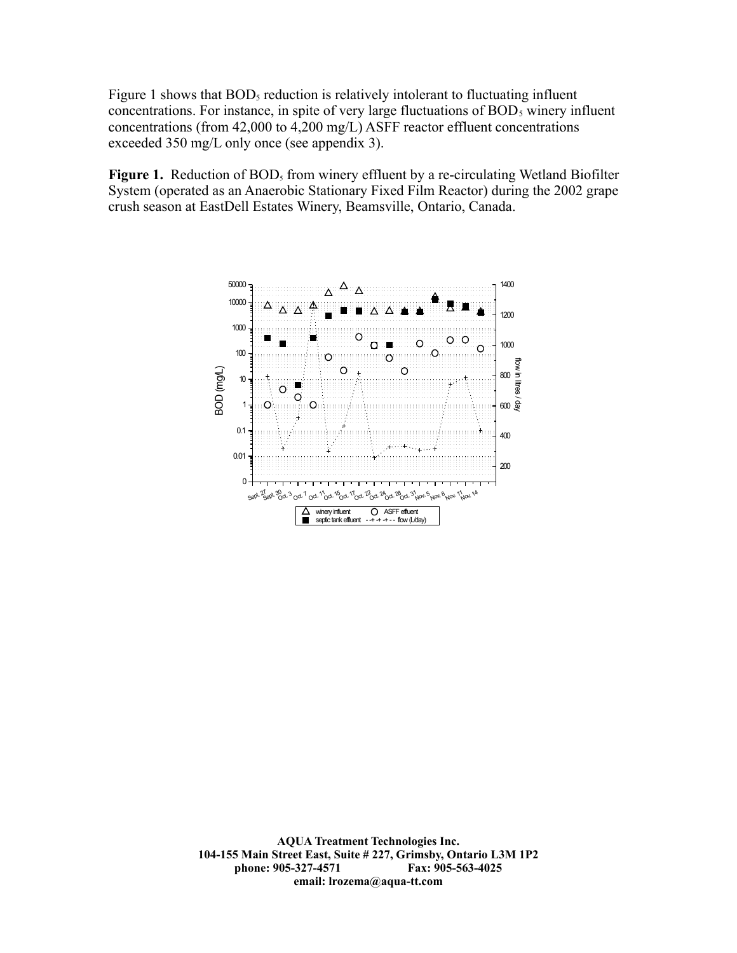Figure 1 shows that  $BOD<sub>5</sub>$  reduction is relatively intolerant to fluctuating influent concentrations. For instance, in spite of very large fluctuations of  $BOD<sub>5</sub>$  winery influent concentrations (from 42,000 to 4,200 mg/L) ASFF reactor effluent concentrations exceeded 350 mg/L only once (see appendix 3).

Figure 1. Reduction of BOD<sub>5</sub> from winery effluent by a re-circulating Wetland Biofilter System (operated as an Anaerobic Stationary Fixed Film Reactor) during the 2002 grape crush season at EastDell Estates Winery, Beamsville, Ontario, Canada.

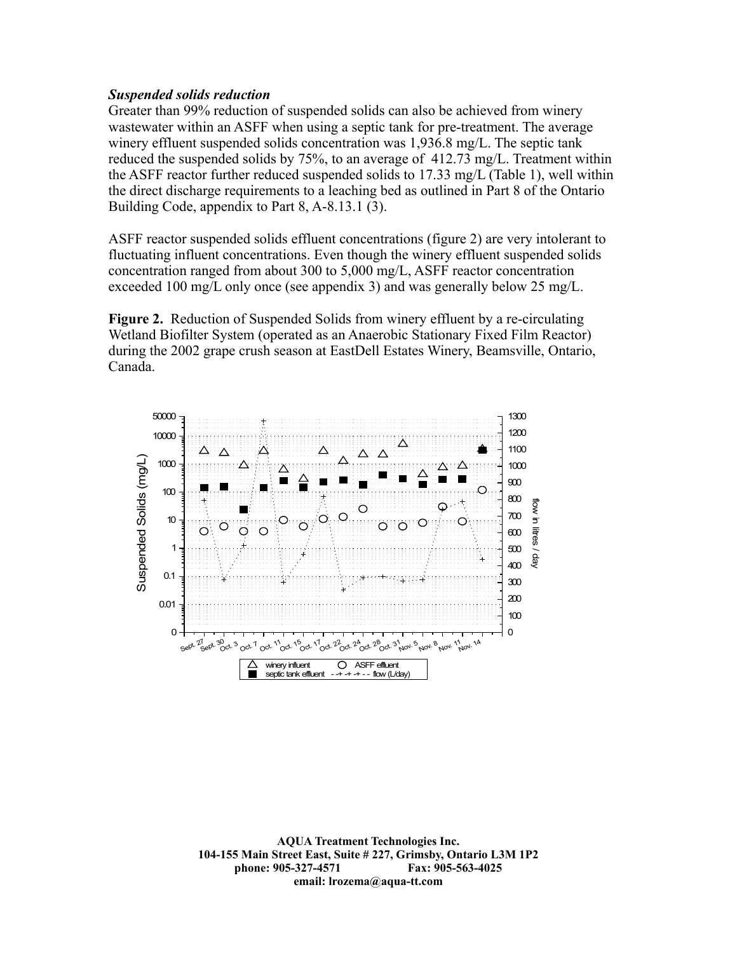## *Suspended solids reduction*

Greater than 99% reduction of suspended solids can also be achieved from winery wastewater within an ASFF when using a septic tank for pre-treatment. The average winery effluent suspended solids concentration was 1,936.8 mg/L. The septic tank reduced the suspended solids by 75%, to an average of 412.73 mg/L. Treatment within the ASFF reactor further reduced suspended solids to 17.33 mg/L (Table 1), well within the direct discharge requirements to a leaching bed as outlined in Part 8 of the Ontario Building Code, appendix to Part 8, A-8.13.1 (3).

ASFF reactor suspended solids effluent concentrations (figure 2) are very intolerant to fluctuating influent concentrations. Even though the winery effluent suspended solids concentration ranged from about 300 to 5,000 mg/L, ASFF reactor concentration exceeded 100 mg/L only once (see appendix 3) and was generally below 25 mg/L.

**Figure 2.** Reduction of Suspended Solids from winery effluent by a re-circulating Wetland Biofilter System (operated as an Anaerobic Stationary Fixed Film Reactor) during the 2002 grape crush season at EastDell Estates Winery, Beamsville, Ontario, Canada.

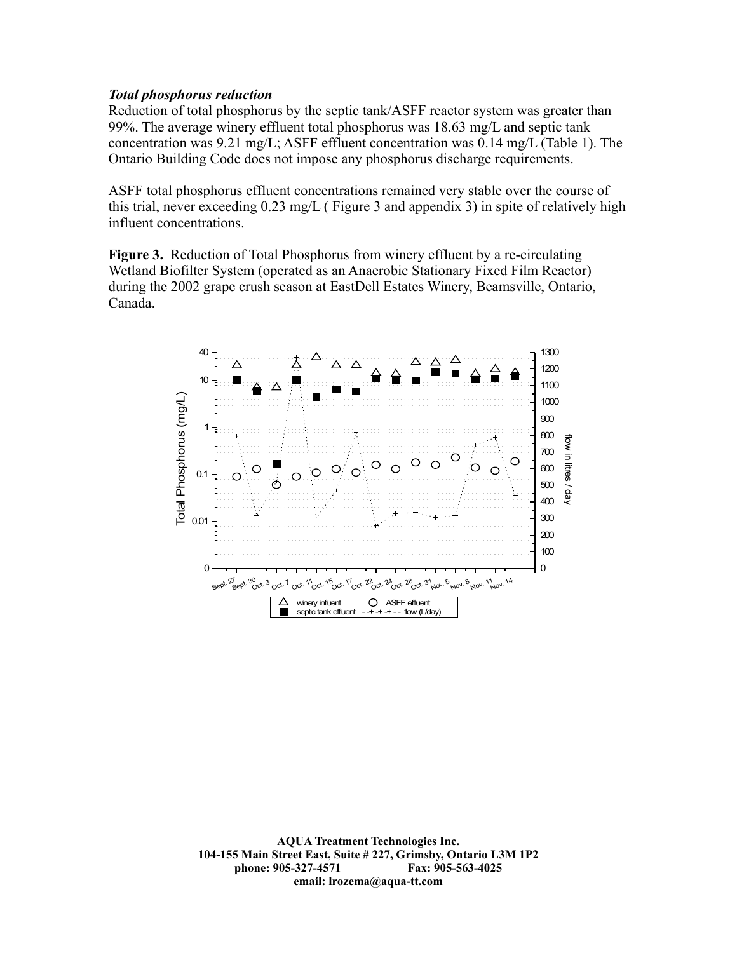#### *Total phosphorus reduction*

Reduction of total phosphorus by the septic tank/ASFF reactor system was greater than 99%. The average winery effluent total phosphorus was 18.63 mg/L and septic tank concentration was 9.21 mg/L; ASFF effluent concentration was 0.14 mg/L (Table 1). The Ontario Building Code does not impose any phosphorus discharge requirements.

ASFF total phosphorus effluent concentrations remained very stable over the course of this trial, never exceeding 0.23 mg/L ( Figure 3 and appendix 3) in spite of relatively high influent concentrations.

**Figure 3.** Reduction of Total Phosphorus from winery effluent by a re-circulating Wetland Biofilter System (operated as an Anaerobic Stationary Fixed Film Reactor) during the 2002 grape crush season at EastDell Estates Winery, Beamsville, Ontario, Canada.

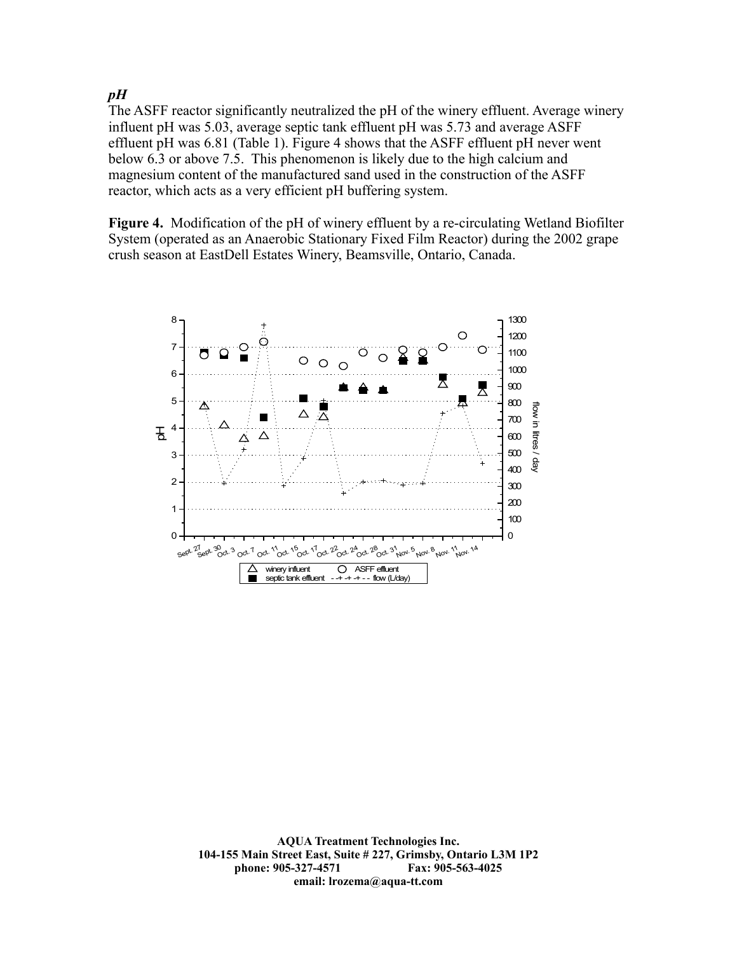*pH*

The ASFF reactor significantly neutralized the pH of the winery effluent. Average winery influent pH was 5.03, average septic tank effluent pH was 5.73 and average ASFF effluent pH was 6.81 (Table 1). Figure 4 shows that the ASFF effluent pH never went below 6.3 or above 7.5. This phenomenon is likely due to the high calcium and magnesium content of the manufactured sand used in the construction of the ASFF reactor, which acts as a very efficient pH buffering system.

**Figure 4.** Modification of the pH of winery effluent by a re-circulating Wetland Biofilter System (operated as an Anaerobic Stationary Fixed Film Reactor) during the 2002 grape crush season at EastDell Estates Winery, Beamsville, Ontario, Canada.

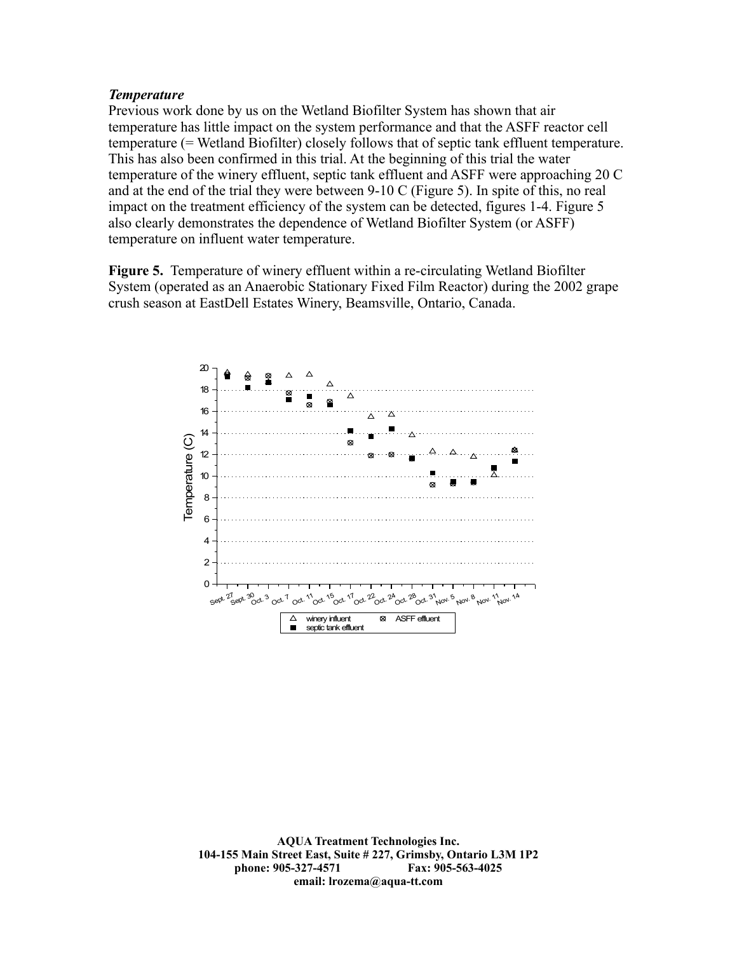## *Temperature*

Previous work done by us on the Wetland Biofilter System has shown that air temperature has little impact on the system performance and that the ASFF reactor cell temperature (= Wetland Biofilter) closely follows that of septic tank effluent temperature. This has also been confirmed in this trial. At the beginning of this trial the water temperature of the winery effluent, septic tank effluent and ASFF were approaching 20 C and at the end of the trial they were between 9-10 C (Figure 5). In spite of this, no real impact on the treatment efficiency of the system can be detected, figures 1-4. Figure 5 also clearly demonstrates the dependence of Wetland Biofilter System (or ASFF) temperature on influent water temperature.

**Figure 5.** Temperature of winery effluent within a re-circulating Wetland Biofilter System (operated as an Anaerobic Stationary Fixed Film Reactor) during the 2002 grape crush season at EastDell Estates Winery, Beamsville, Ontario, Canada.